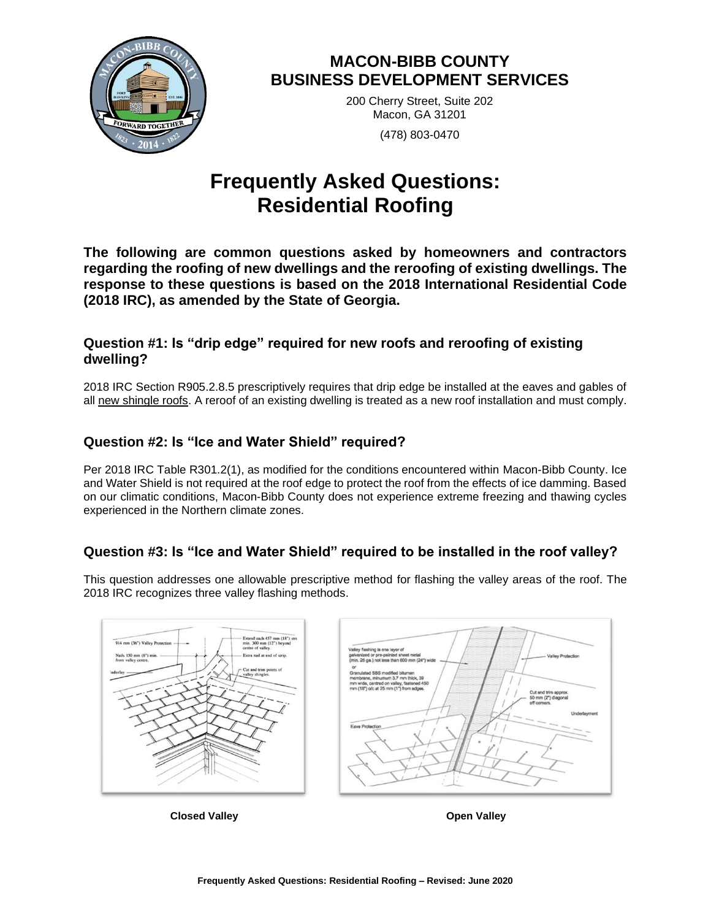

# **MACON-BIBB COUNTY BUSINESS DEVELOPMENT SERVICES**

200 Cherry Street, Suite 202 Macon, GA 31201 (478) 803-0470

# **Frequently Asked Questions: Residential Roofing**

**The following are common questions asked by homeowners and contractors regarding the roofing of new dwellings and the reroofing of existing dwellings. The response to these questions is based on the 2018 International Residential Code (2018 IRC), as amended by the State of Georgia.** 

#### **Question #1: Is "drip edge" required for new roofs and reroofing of existing dwelling?**

2018 IRC Section R905.2.8.5 prescriptively requires that drip edge be installed at the eaves and gables of all new shingle roofs. A reroof of an existing dwelling is treated as a new roof installation and must comply.

### **Question #2: Is "Ice and Water Shield" required?**

Per 2018 IRC Table R301.2(1), as modified for the conditions encountered within Macon-Bibb County. Ice and Water Shield is not required at the roof edge to protect the roof from the effects of ice damming. Based on our climatic conditions, Macon-Bibb County does not experience extreme freezing and thawing cycles experienced in the Northern climate zones.

## **Question #3: Is "Ice and Water Shield" required to be installed in the roof valley?**

This question addresses one allowable prescriptive method for flashing the valley areas of the roof. The 2018 IRC recognizes three valley flashing methods.



**Closed Valley Open Valley**